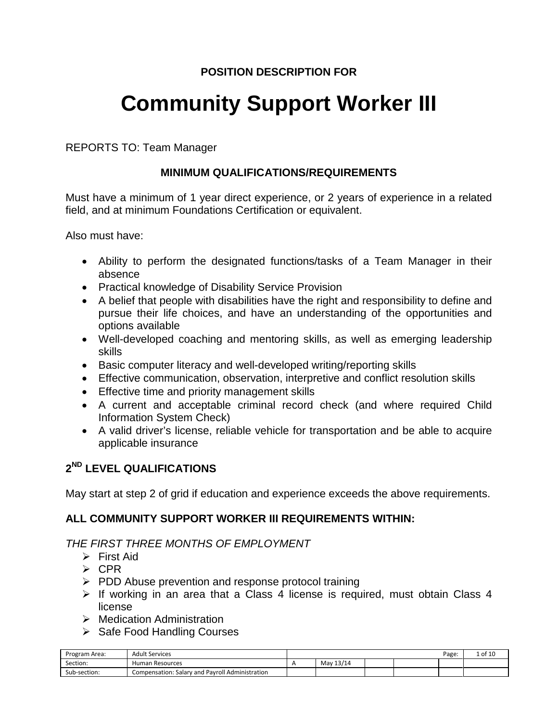# **Community Support Worker III**

REPORTS TO: Team Manager

# **MINIMUM QUALIFICATIONS/REQUIREMENTS**

Must have a minimum of 1 year direct experience, or 2 years of experience in a related field, and at minimum Foundations Certification or equivalent.

Also must have:

- Ability to perform the designated functions/tasks of a Team Manager in their absence
- Practical knowledge of Disability Service Provision
- A belief that people with disabilities have the right and responsibility to define and pursue their life choices, and have an understanding of the opportunities and options available
- Well-developed coaching and mentoring skills, as well as emerging leadership skills
- Basic computer literacy and well-developed writing/reporting skills
- Effective communication, observation, interpretive and conflict resolution skills
- Effective time and priority management skills
- A current and acceptable criminal record check (and where required Child Information System Check)
- A valid driver's license, reliable vehicle for transportation and be able to acquire applicable insurance

# **2ND LEVEL QUALIFICATIONS**

May start at step 2 of grid if education and experience exceeds the above requirements.

# **ALL COMMUNITY SUPPORT WORKER III REQUIREMENTS WITHIN:**

# *THE FIRST THREE MONTHS OF EMPLOYMENT*

- $\triangleright$  First Aid
- $\triangleright$  CPR
- $\triangleright$  PDD Abuse prevention and response protocol training
- $\triangleright$  If working in an area that a Class 4 license is required, must obtain Class 4 license
- **▶ Medication Administration**
- $\triangleright$  Safe Food Handling Courses

| Program Area: | <b>Adult Services</b>                           |           |  | Page: | $\pm$ of 1 <sup><math>\sim</math></sup> |
|---------------|-------------------------------------------------|-----------|--|-------|-----------------------------------------|
| Section:      | Human Resources                                 | May 13/14 |  |       |                                         |
| Sub-section:  | Compensation: Salary and Payroll Administration |           |  |       |                                         |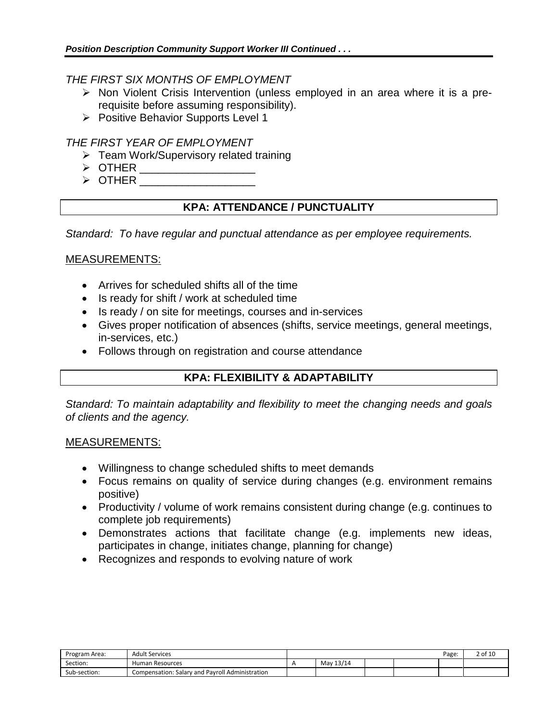## *THE FIRST SIX MONTHS OF EMPLOYMENT*

- $\triangleright$  Non Violent Crisis Intervention (unless employed in an area where it is a prerequisite before assuming responsibility).
- $\triangleright$  Positive Behavior Supports Level 1

# *THE FIRST YEAR OF EMPLOYMENT*

- $\triangleright$  Team Work/Supervisory related training
- OTHER \_\_\_\_\_\_\_\_\_\_\_\_\_\_\_\_\_\_\_
- $\triangleright$  OTHER

# **KPA: ATTENDANCE / PUNCTUALITY**

*Standard: To have regular and punctual attendance as per employee requirements.*

## MEASUREMENTS:

- Arrives for scheduled shifts all of the time
- Is ready for shift / work at scheduled time
- Is ready / on site for meetings, courses and in-services
- Gives proper notification of absences (shifts, service meetings, general meetings, in-services, etc.)
- Follows through on registration and course attendance

# **KPA: FLEXIBILITY & ADAPTABILITY**

*Standard: To maintain adaptability and flexibility to meet the changing needs and goals of clients and the agency.*

- Willingness to change scheduled shifts to meet demands
- Focus remains on quality of service during changes (e.g. environment remains positive)
- Productivity / volume of work remains consistent during change (e.g. continues to complete job requirements)
- Demonstrates actions that facilitate change (e.g. implements new ideas, participates in change, initiates change, planning for change)
- Recognizes and responds to evolving nature of work

| Program Area: | <b>Adult Services</b>                           |           |  | Page: | 2 of 10 |
|---------------|-------------------------------------------------|-----------|--|-------|---------|
| Section:      | Human Resources                                 | May 13/14 |  |       |         |
| Sub-section:  | Compensation: Salary and Payroll Administration |           |  |       |         |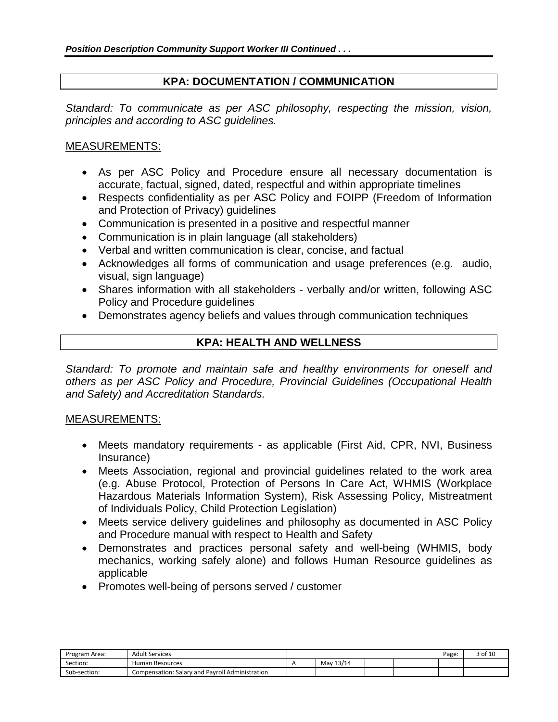# **KPA: DOCUMENTATION / COMMUNICATION**

*Standard: To communicate as per ASC philosophy, respecting the mission, vision, principles and according to ASC guidelines.*

# MEASUREMENTS:

- As per ASC Policy and Procedure ensure all necessary documentation is accurate, factual, signed, dated, respectful and within appropriate timelines
- Respects confidentiality as per ASC Policy and FOIPP (Freedom of Information and Protection of Privacy) guidelines
- Communication is presented in a positive and respectful manner
- Communication is in plain language (all stakeholders)
- Verbal and written communication is clear, concise, and factual
- Acknowledges all forms of communication and usage preferences (e.g. audio, visual, sign language)
- Shares information with all stakeholders verbally and/or written, following ASC Policy and Procedure guidelines
- Demonstrates agency beliefs and values through communication techniques

# **KPA: HEALTH AND WELLNESS**

*Standard: To promote and maintain safe and healthy environments for oneself and others as per ASC Policy and Procedure, Provincial Guidelines (Occupational Health and Safety) and Accreditation Standards.*

- Meets mandatory requirements as applicable (First Aid, CPR, NVI, Business Insurance)
- Meets Association, regional and provincial guidelines related to the work area (e.g. Abuse Protocol, Protection of Persons In Care Act, WHMIS (Workplace Hazardous Materials Information System), Risk Assessing Policy, Mistreatment of Individuals Policy, Child Protection Legislation)
- Meets service delivery guidelines and philosophy as documented in ASC Policy and Procedure manual with respect to Health and Safety
- Demonstrates and practices personal safety and well-being (WHMIS, body mechanics, working safely alone) and follows Human Resource guidelines as applicable
- Promotes well-being of persons served / customer

| Program Area: | <b>Adult Services</b>                           |               |  | Page. | 3 of 10 |
|---------------|-------------------------------------------------|---------------|--|-------|---------|
| Section:      | Human Resources                                 | 13/14<br>Mav. |  |       |         |
| Sub-section:  | Compensation: Salary and Payroll Administration |               |  |       |         |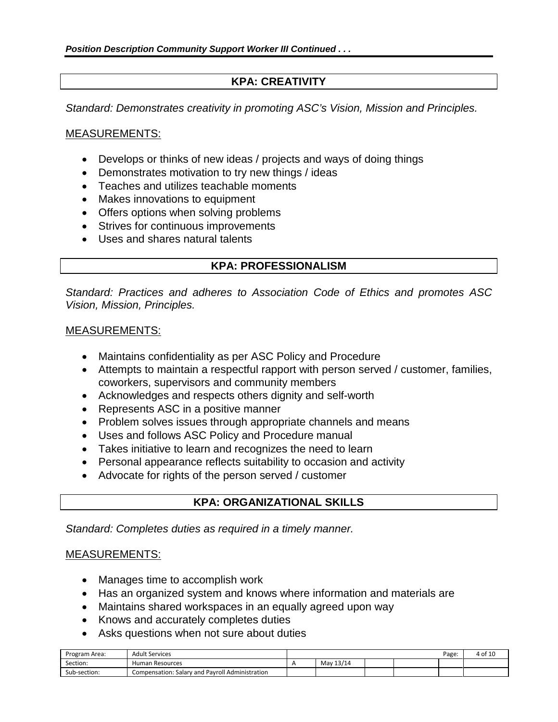# **KPA: CREATIVITY**

*Standard: Demonstrates creativity in promoting ASC's Vision, Mission and Principles.*

#### MEASUREMENTS:

- Develops or thinks of new ideas / projects and ways of doing things
- Demonstrates motivation to try new things / ideas
- Teaches and utilizes teachable moments
- Makes innovations to equipment
- Offers options when solving problems
- Strives for continuous improvements
- Uses and shares natural talents

# **KPA: PROFESSIONALISM**

*Standard: Practices and adheres to Association Code of Ethics and promotes ASC Vision, Mission, Principles.*

#### MEASUREMENTS:

- Maintains confidentiality as per ASC Policy and Procedure
- Attempts to maintain a respectful rapport with person served / customer, families, coworkers, supervisors and community members
- Acknowledges and respects others dignity and self-worth
- Represents ASC in a positive manner
- Problem solves issues through appropriate channels and means
- Uses and follows ASC Policy and Procedure manual
- Takes initiative to learn and recognizes the need to learn
- Personal appearance reflects suitability to occasion and activity
- Advocate for rights of the person served / customer

# **KPA: ORGANIZATIONAL SKILLS**

*Standard: Completes duties as required in a timely manner.*

- Manages time to accomplish work
- Has an organized system and knows where information and materials are
- Maintains shared workspaces in an equally agreed upon way
- Knows and accurately completes duties
- Asks questions when not sure about duties

| Program<br>า Area: | <b>Adult Services</b>                           |           |  | Page. | 4 of 10 |
|--------------------|-------------------------------------------------|-----------|--|-------|---------|
| Section:           | Human Resources                                 | May 13/14 |  |       |         |
| Sub-section:       | Compensation: Salary and Payroll Administration |           |  |       |         |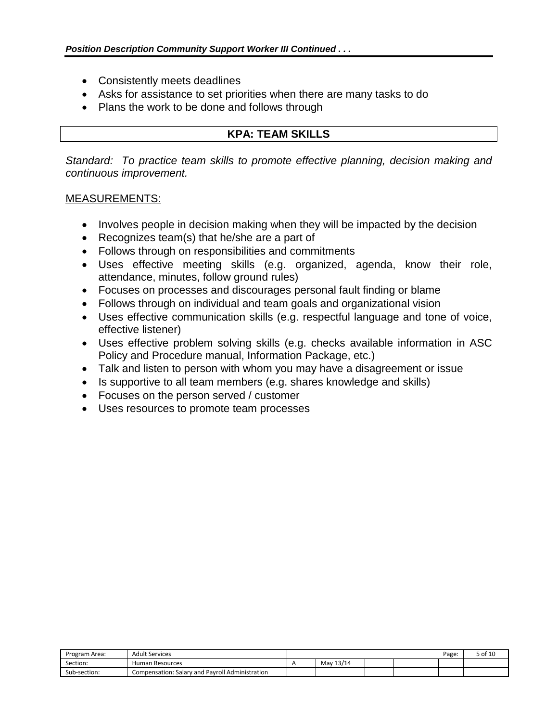- Consistently meets deadlines
- Asks for assistance to set priorities when there are many tasks to do
- Plans the work to be done and follows through

# **KPA: TEAM SKILLS**

*Standard: To practice team skills to promote effective planning, decision making and continuous improvement.*

- Involves people in decision making when they will be impacted by the decision
- Recognizes team(s) that he/she are a part of
- Follows through on responsibilities and commitments
- Uses effective meeting skills (e.g. organized, agenda, know their role, attendance, minutes, follow ground rules)
- Focuses on processes and discourages personal fault finding or blame
- Follows through on individual and team goals and organizational vision
- Uses effective communication skills (e.g. respectful language and tone of voice, effective listener)
- Uses effective problem solving skills (e.g. checks available information in ASC Policy and Procedure manual, Information Package, etc.)
- Talk and listen to person with whom you may have a disagreement or issue
- Is supportive to all team members (e.g. shares knowledge and skills)
- Focuses on the person served / customer
- Uses resources to promote team processes

| Program Area: | <b>Adult Services</b>                           |           |  | Page: | 5 of 10 |
|---------------|-------------------------------------------------|-----------|--|-------|---------|
| Section:      | Human Resources                                 | May 13/14 |  |       |         |
| Sub-section:  | Compensation: Salary and Pavroll Administration |           |  |       |         |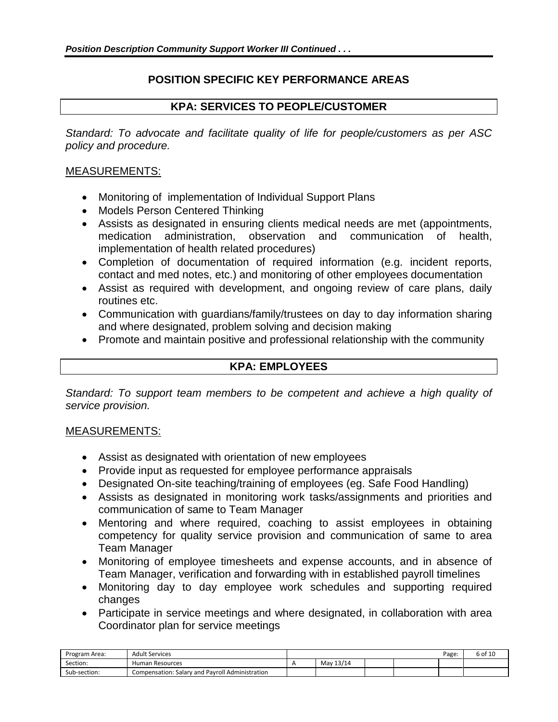# **POSITION SPECIFIC KEY PERFORMANCE AREAS**

# **KPA: SERVICES TO PEOPLE/CUSTOMER**

*Standard: To advocate and facilitate quality of life for people/customers as per ASC policy and procedure.*

# MEASUREMENTS:

- Monitoring of implementation of Individual Support Plans
- Models Person Centered Thinking
- Assists as designated in ensuring clients medical needs are met (appointments, medication administration, observation and communication of health, implementation of health related procedures)
- Completion of documentation of required information (e.g. incident reports, contact and med notes, etc.) and monitoring of other employees documentation
- Assist as required with development, and ongoing review of care plans, daily routines etc.
- Communication with guardians/family/trustees on day to day information sharing and where designated, problem solving and decision making
- Promote and maintain positive and professional relationship with the community

# **KPA: EMPLOYEES**

*Standard: To support team members to be competent and achieve a high quality of service provision.*

- Assist as designated with orientation of new employees
- Provide input as requested for employee performance appraisals
- Designated On-site teaching/training of employees (eg. Safe Food Handling)
- Assists as designated in monitoring work tasks/assignments and priorities and communication of same to Team Manager
- Mentoring and where required, coaching to assist employees in obtaining competency for quality service provision and communication of same to area Team Manager
- Monitoring of employee timesheets and expense accounts, and in absence of Team Manager, verification and forwarding with in established payroll timelines
- Monitoring day to day employee work schedules and supporting required changes
- Participate in service meetings and where designated, in collaboration with area Coordinator plan for service meetings

| Program<br>:Area ה | <b>Adult Services</b>                           |               |  | Page: | o of <sup>1</sup> |
|--------------------|-------------------------------------------------|---------------|--|-------|-------------------|
| Section:           | Human Resources                                 | 13/14<br>May. |  |       |                   |
| Sub-section:       | Compensation: Salary and Payroll Administration |               |  |       |                   |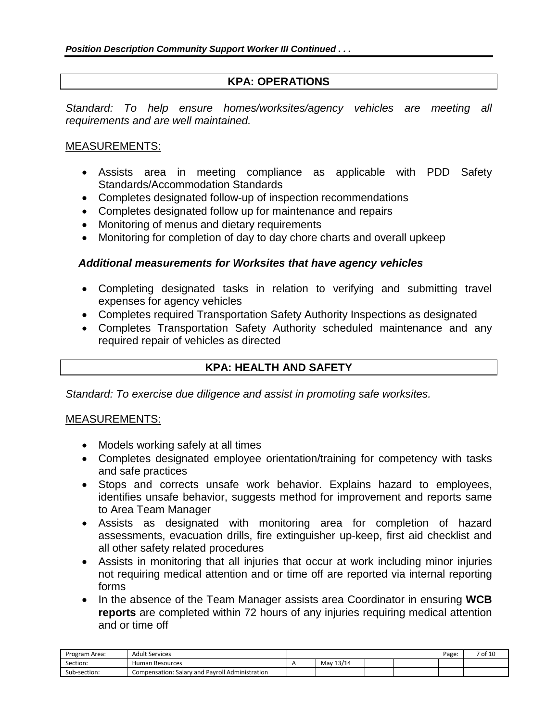# **KPA: OPERATIONS**

*Standard: To help ensure homes/worksites/agency vehicles are meeting all requirements and are well maintained.*

# MEASUREMENTS:

- Assists area in meeting compliance as applicable with PDD Safety Standards/Accommodation Standards
- Completes designated follow-up of inspection recommendations
- Completes designated follow up for maintenance and repairs
- Monitoring of menus and dietary requirements
- Monitoring for completion of day to day chore charts and overall upkeep

## *Additional measurements for Worksites that have agency vehicles*

- Completing designated tasks in relation to verifying and submitting travel expenses for agency vehicles
- Completes required Transportation Safety Authority Inspections as designated
- Completes Transportation Safety Authority scheduled maintenance and any required repair of vehicles as directed

# **KPA: HEALTH AND SAFETY**

*Standard: To exercise due diligence and assist in promoting safe worksites.*

- Models working safely at all times
- Completes designated employee orientation/training for competency with tasks and safe practices
- Stops and corrects unsafe work behavior. Explains hazard to employees, identifies unsafe behavior, suggests method for improvement and reports same to Area Team Manager
- Assists as designated with monitoring area for completion of hazard assessments, evacuation drills, fire extinguisher up-keep, first aid checklist and all other safety related procedures
- Assists in monitoring that all injuries that occur at work including minor injuries not requiring medical attention and or time off are reported via internal reporting forms
- In the absence of the Team Manager assists area Coordinator in ensuring **WCB reports** are completed within 72 hours of any injuries requiring medical attention and or time off

| Program<br>:Area ה | <b>Adult Services</b>                           |               |  | Page: | ∕ of 1Ր |
|--------------------|-------------------------------------------------|---------------|--|-------|---------|
| Section:           | Human Resources                                 | 13/14<br>May. |  |       |         |
| Sub-<br>ን-section: | Compensation: Salary and Payroll Administration |               |  |       |         |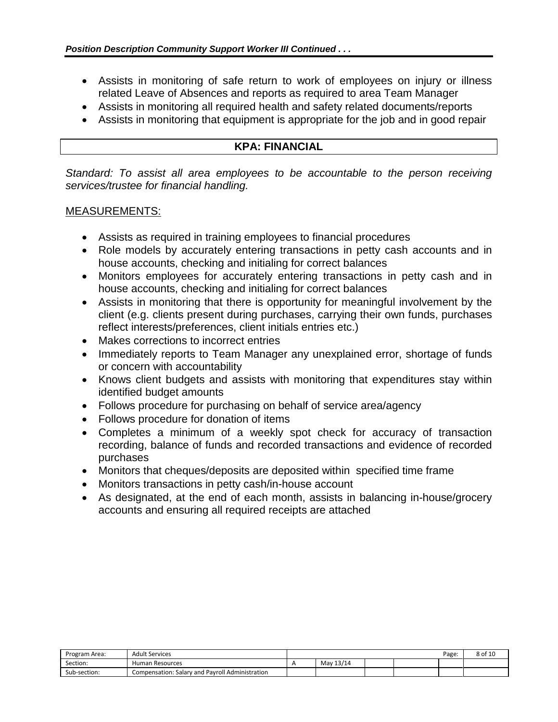- Assists in monitoring of safe return to work of employees on injury or illness related Leave of Absences and reports as required to area Team Manager
- Assists in monitoring all required health and safety related documents/reports
- Assists in monitoring that equipment is appropriate for the job and in good repair

#### **KPA: FINANCIAL**

*Standard: To assist all area employees to be accountable to the person receiving services/trustee for financial handling.*

- Assists as required in training employees to financial procedures
- Role models by accurately entering transactions in petty cash accounts and in house accounts, checking and initialing for correct balances
- Monitors employees for accurately entering transactions in petty cash and in house accounts, checking and initialing for correct balances
- Assists in monitoring that there is opportunity for meaningful involvement by the client (e.g. clients present during purchases, carrying their own funds, purchases reflect interests/preferences, client initials entries etc.)
- Makes corrections to incorrect entries
- Immediately reports to Team Manager any unexplained error, shortage of funds or concern with accountability
- Knows client budgets and assists with monitoring that expenditures stay within identified budget amounts
- Follows procedure for purchasing on behalf of service area/agency
- Follows procedure for donation of items
- Completes a minimum of a weekly spot check for accuracy of transaction recording, balance of funds and recorded transactions and evidence of recorded purchases
- Monitors that cheques/deposits are deposited within specified time frame
- Monitors transactions in petty cash/in-house account
- As designated, at the end of each month, assists in balancing in-house/grocery accounts and ensuring all required receipts are attached

| Program<br>า Area: | <b>Adult Services</b>                           |           |  | Page: | 8 of 10 |
|--------------------|-------------------------------------------------|-----------|--|-------|---------|
| Section:           | Human Resources                                 | May 13/14 |  |       |         |
| Sub-section:       | Compensation: Salary and Payroll Administration |           |  |       |         |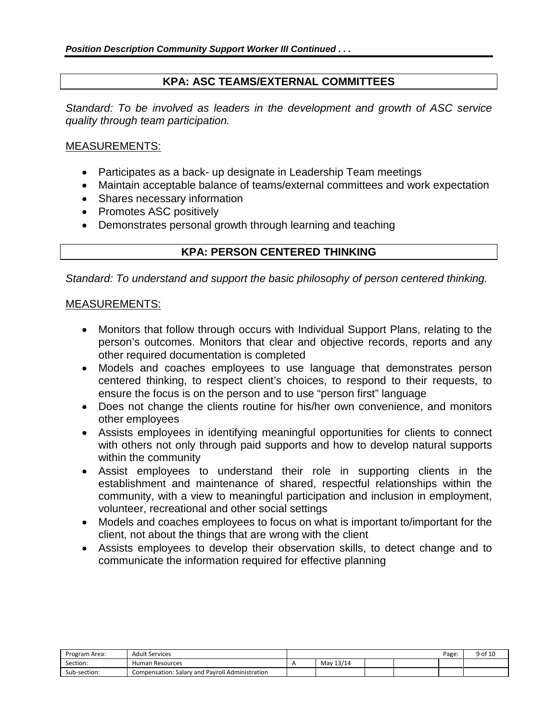# **KPA: ASC TEAMS/EXTERNAL COMMITTEES**

*Standard: To be involved as leaders in the development and growth of ASC service quality through team participation.*

#### MEASUREMENTS:

- Participates as a back- up designate in Leadership Team meetings
- Maintain acceptable balance of teams/external committees and work expectation
- Shares necessary information
- Promotes ASC positively
- Demonstrates personal growth through learning and teaching

#### **KPA: PERSON CENTERED THINKING**

*Standard: To understand and support the basic philosophy of person centered thinking.*

- Monitors that follow through occurs with Individual Support Plans, relating to the person's outcomes. Monitors that clear and objective records, reports and any other required documentation is completed
- Models and coaches employees to use language that demonstrates person centered thinking, to respect client's choices, to respond to their requests, to ensure the focus is on the person and to use "person first" language
- Does not change the clients routine for his/her own convenience, and monitors other employees
- Assists employees in identifying meaningful opportunities for clients to connect with others not only through paid supports and how to develop natural supports within the community
- Assist employees to understand their role in supporting clients in the establishment and maintenance of shared, respectful relationships within the community, with a view to meaningful participation and inclusion in employment, volunteer, recreational and other social settings
- Models and coaches employees to focus on what is important to/important for the client, not about the things that are wrong with the client
- Assists employees to develop their observation skills, to detect change and to communicate the information required for effective planning

| Program Area: | <b>Adult Services</b>                           |           |  | Page. | 9 of 10 |
|---------------|-------------------------------------------------|-----------|--|-------|---------|
| Section:      | Human Resources                                 | May 13/14 |  |       |         |
| Sub-section:  | Compensation: Salary and Payroll Administration |           |  |       |         |